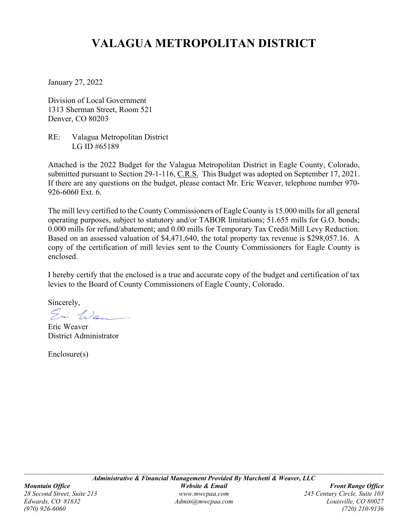# **VALAGUA METROPOLITAN DISTRICT**

January 27, 2022

Division of Local Government 1313 Sherman Street, Room 521 Denver, CO 80203

RE: Valagua Metropolitan District LG ID #65189

Attached is the 2022 Budget for the Valagua Metropolitan District in Eagle County, Colorado, submitted pursuant to Section 29-1-116, C.R.S. This Budget was adopted on September 17, 2021. If there are any questions on the budget, please contact Mr. Eric Weaver, telephone number 970- 926-6060 Ext. 6.

The mill levy certified to the County Commissioners of Eagle County is 15.000 mills for all general operating purposes, subject to statutory and/or TABOR limitations; 51.655 mills for G.O. bonds; 0.000 mills for refund/abatement; and 0.00 mills for Temporary Tax Credit/Mill Levy Reduction. Based on an assessed valuation of \$4,471,640, the total property tax revenue is \$298,057.16. A copy of the certification of mill levies sent to the County Commissioners for Eagle County is enclosed.

I hereby certify that the enclosed is a true and accurate copy of the budget and certification of tax levies to the Board of County Commissioners of Eagle County, Colorado.

Sincerely,

Ei Wei -

Eric Weaver District Administrator

Enclosure(s)

*(970) 926-6060 (720) 210-9136*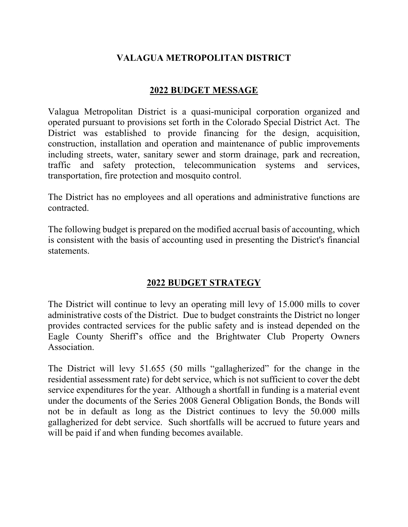# **VALAGUA METROPOLITAN DISTRICT**

# **2022 BUDGET MESSAGE**

Valagua Metropolitan District is a quasi-municipal corporation organized and operated pursuant to provisions set forth in the Colorado Special District Act. The District was established to provide financing for the design, acquisition, construction, installation and operation and maintenance of public improvements including streets, water, sanitary sewer and storm drainage, park and recreation, traffic and safety protection, telecommunication systems and services, transportation, fire protection and mosquito control.

The District has no employees and all operations and administrative functions are contracted.

The following budget is prepared on the modified accrual basis of accounting, which is consistent with the basis of accounting used in presenting the District's financial statements.

# **2022 BUDGET STRATEGY**

The District will continue to levy an operating mill levy of 15.000 mills to cover administrative costs of the District. Due to budget constraints the District no longer provides contracted services for the public safety and is instead depended on the Eagle County Sheriff's office and the Brightwater Club Property Owners Association.

The District will levy 51.655 (50 mills "gallagherized" for the change in the residential assessment rate) for debt service, which is not sufficient to cover the debt service expenditures for the year. Although a shortfall in funding is a material event under the documents of the Series 2008 General Obligation Bonds, the Bonds will not be in default as long as the District continues to levy the 50.000 mills gallagherized for debt service. Such shortfalls will be accrued to future years and will be paid if and when funding becomes available.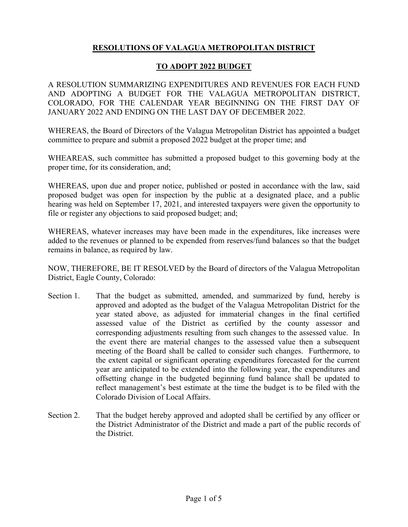# **RESOLUTIONS OF VALAGUA METROPOLITAN DISTRICT**

# **TO ADOPT 2022 BUDGET**

A RESOLUTION SUMMARIZING EXPENDITURES AND REVENUES FOR EACH FUND AND ADOPTING A BUDGET FOR THE VALAGUA METROPOLITAN DISTRICT, COLORADO, FOR THE CALENDAR YEAR BEGINNING ON THE FIRST DAY OF JANUARY 2022 AND ENDING ON THE LAST DAY OF DECEMBER 2022.

WHEREAS, the Board of Directors of the Valagua Metropolitan District has appointed a budget committee to prepare and submit a proposed 2022 budget at the proper time; and

WHEAREAS, such committee has submitted a proposed budget to this governing body at the proper time, for its consideration, and;

WHEREAS, upon due and proper notice, published or posted in accordance with the law, said proposed budget was open for inspection by the public at a designated place, and a public hearing was held on September 17, 2021, and interested taxpayers were given the opportunity to file or register any objections to said proposed budget; and;

WHEREAS, whatever increases may have been made in the expenditures, like increases were added to the revenues or planned to be expended from reserves/fund balances so that the budget remains in balance, as required by law.

NOW, THEREFORE, BE IT RESOLVED by the Board of directors of the Valagua Metropolitan District, Eagle County, Colorado:

- Section 1. That the budget as submitted, amended, and summarized by fund, hereby is approved and adopted as the budget of the Valagua Metropolitan District for the year stated above, as adjusted for immaterial changes in the final certified assessed value of the District as certified by the county assessor and corresponding adjustments resulting from such changes to the assessed value. In the event there are material changes to the assessed value then a subsequent meeting of the Board shall be called to consider such changes. Furthermore, to the extent capital or significant operating expenditures forecasted for the current year are anticipated to be extended into the following year, the expenditures and offsetting change in the budgeted beginning fund balance shall be updated to reflect management's best estimate at the time the budget is to be filed with the Colorado Division of Local Affairs.
- Section 2. That the budget hereby approved and adopted shall be certified by any officer or the District Administrator of the District and made a part of the public records of the District.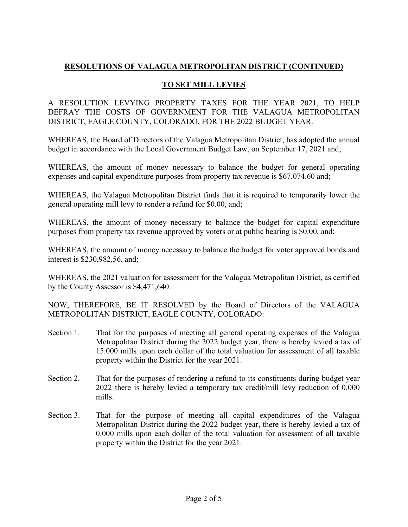# **TO SET MILL LEVIES**

A RESOLUTION LEVYING PROPERTY TAXES FOR THE YEAR 2021, TO HELP DEFRAY THE COSTS OF GOVERNMENT FOR THE VALAGUA METROPOLITAN DISTRICT, EAGLE COUNTY, COLORADO, FOR THE 2022 BUDGET YEAR.

WHEREAS, the Board of Directors of the Valagua Metropolitan District, has adopted the annual budget in accordance with the Local Government Budget Law, on September 17, 2021 and;

WHEREAS, the amount of money necessary to balance the budget for general operating expenses and capital expenditure purposes from property tax revenue is \$67,074.60 and;

WHEREAS, the Valagua Metropolitan District finds that it is required to temporarily lower the general operating mill levy to render a refund for \$0.00, and;

WHEREAS, the amount of money necessary to balance the budget for capital expenditure purposes from property tax revenue approved by voters or at public hearing is \$0.00, and;

WHEREAS, the amount of money necessary to balance the budget for voter approved bonds and interest is \$230,982,56, and;

WHEREAS, the 2021 valuation for assessment for the Valagua Metropolitan District, as certified by the County Assessor is \$4,471,640.

NOW, THEREFORE, BE IT RESOLVED by the Board of Directors of the VALAGUA METROPOLITAN DISTRICT, EAGLE COUNTY, COLORADO:

- Section 1. That for the purposes of meeting all general operating expenses of the Valagua Metropolitan District during the 2022 budget year, there is hereby levied a tax of 15.000 mills upon each dollar of the total valuation for assessment of all taxable property within the District for the year 2021.
- Section 2. That for the purposes of rendering a refund to its constituents during budget year 2022 there is hereby levied a temporary tax credit/mill levy reduction of 0.000 mills.
- Section 3. That for the purpose of meeting all capital expenditures of the Valagua Metropolitan District during the 2022 budget year, there is hereby levied a tax of 0.000 mills upon each dollar of the total valuation for assessment of all taxable property within the District for the year 2021.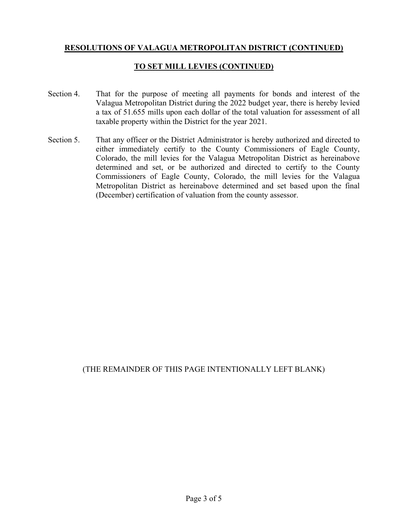## **TO SET MILL LEVIES (CONTINUED)**

- Section 4. That for the purpose of meeting all payments for bonds and interest of the Valagua Metropolitan District during the 2022 budget year, there is hereby levied a tax of 51.655 mills upon each dollar of the total valuation for assessment of all taxable property within the District for the year 2021.
- Section 5. That any officer or the District Administrator is hereby authorized and directed to either immediately certify to the County Commissioners of Eagle County, Colorado, the mill levies for the Valagua Metropolitan District as hereinabove determined and set, or be authorized and directed to certify to the County Commissioners of Eagle County, Colorado, the mill levies for the Valagua Metropolitan District as hereinabove determined and set based upon the final (December) certification of valuation from the county assessor.

# (THE REMAINDER OF THIS PAGE INTENTIONALLY LEFT BLANK)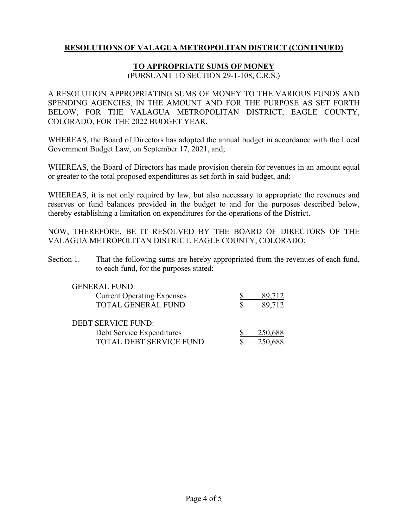## **TO APPROPRIATE SUMS OF MONEY**

(PURSUANT TO SECTION 29-1-108, C.R.S.)

A RESOLUTION APPROPRIATING SUMS OF MONEY TO THE VARIOUS FUNDS AND SPENDING AGENCIES, IN THE AMOUNT AND FOR THE PURPOSE AS SET FORTH BELOW, FOR THE VALAGUA METROPOLITAN DISTRICT, EAGLE COUNTY, COLORADO, FOR THE 2022 BUDGET YEAR.

WHEREAS, the Board of Directors has adopted the annual budget in accordance with the Local Government Budget Law, on September 17, 2021, and;

WHEREAS, the Board of Directors has made provision therein for revenues in an amount equal or greater to the total proposed expenditures as set forth in said budget, and;

WHEREAS, it is not only required by law, but also necessary to appropriate the revenues and reserves or fund balances provided in the budget to and for the purposes described below, thereby establishing a limitation on expenditures for the operations of the District.

NOW, THEREFORE, BE IT RESOLVED BY THE BOARD OF DIRECTORS OF THE VALAGUA METROPOLITAN DISTRICT, EAGLE COUNTY, COLORADO:

Section 1. That the following sums are hereby appropriated from the revenues of each fund, to each fund, for the purposes stated:

| <b>GENERAL FUND:</b>              |         |
|-----------------------------------|---------|
| <b>Current Operating Expenses</b> | 89,712  |
| <b>TOTAL GENERAL FUND</b>         | 89,712  |
|                                   |         |
| <b>DEBT SERVICE FUND:</b>         |         |
| Debt Service Expenditures         | 250,688 |
| TOTAL DEBT SERVICE FUND           | 250,688 |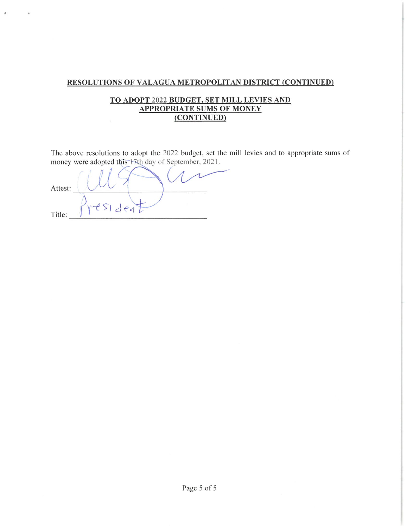## TO ADOPT 2022 BUDGET, SET MILL LEVIES AND **APPROPRIATE SUMS OF MONEY** (CONTINUED)

The above resolutions to adopt the 2022 budget, set the mill levies and to appropriate sums of money were adopted this 17th day of September, 2021.

 $\frac{117}{7}$ Attest: Title: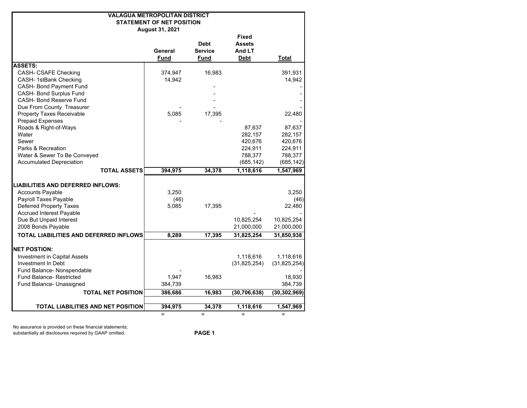| <b>VALAGUA METROPOLITAN DISTRICT</b><br><b>STATEMENT OF NET POSITION</b><br>August 31, 2021 |                        |                                       |                                                        |                  |
|---------------------------------------------------------------------------------------------|------------------------|---------------------------------------|--------------------------------------------------------|------------------|
|                                                                                             | General<br><b>Fund</b> | <b>Debt</b><br><b>Service</b><br>Fund | <b>Fixed</b><br><b>Assets</b><br>And LT<br><b>Debt</b> | <b>Total</b>     |
| <b>ASSETS:</b>                                                                              |                        |                                       |                                                        |                  |
| CASH- CSAFE Checking                                                                        | 374,947                | 16,983                                |                                                        | 391,931          |
| CASH- 1stBank Checking                                                                      | 14,942                 |                                       |                                                        | 14,942           |
| CASH- Bond Payment Fund                                                                     |                        |                                       |                                                        |                  |
| CASH- Bond Surplus Fund<br>CASH- Bond Reserve Fund                                          |                        |                                       |                                                        |                  |
| Due From County Treasurer                                                                   |                        |                                       |                                                        |                  |
| <b>Property Taxes Receivable</b>                                                            | 5,085                  | 17,395                                |                                                        | 22,480           |
| <b>Prepaid Expenses</b>                                                                     |                        |                                       |                                                        |                  |
| Roads & Right-of-Ways                                                                       |                        |                                       | 87,637                                                 | 87,637           |
| Water                                                                                       |                        |                                       | 282,157                                                | 282,157          |
| Sewer                                                                                       |                        |                                       | 420,676                                                | 420,676          |
| Parks & Recreation                                                                          |                        |                                       | 224,911                                                | 224,911          |
| Water & Sewer To Be Conveyed                                                                |                        |                                       | 788,377                                                | 788,377          |
| <b>Accumulated Depreciation</b>                                                             |                        |                                       | (685, 142)                                             | (685, 142)       |
| <b>TOTAL ASSETS</b>                                                                         | 394,975                | 34,378                                | 1,118,616                                              | 1,547,969        |
| <b>LIABILITIES AND DEFERRED INFLOWS:</b>                                                    |                        |                                       |                                                        |                  |
| <b>Accounts Payable</b>                                                                     | 3,250                  |                                       |                                                        | 3,250            |
| Payroll Taxes Payable                                                                       | (46)                   |                                       |                                                        | (46)             |
| <b>Deferred Property Taxes</b>                                                              | 5,085                  | 17,395                                |                                                        | 22,480           |
| <b>Accrued Interest Payable</b>                                                             |                        |                                       |                                                        |                  |
| Due But Unpaid Interest                                                                     |                        |                                       | 10,825,254                                             | 10,825,254       |
| 2008 Bonds Payable                                                                          |                        |                                       | 21,000,000                                             | 21,000,000       |
| <b>TOTAL LIABILITIES AND DEFERRED INFLOWS</b>                                               | 8,289                  | 17,395                                | 31,825,254                                             | 31,850,938       |
| <b>NET POSTION:</b>                                                                         |                        |                                       |                                                        |                  |
| <b>Investment in Capital Assets</b>                                                         |                        |                                       | 1,118,616                                              | 1,118,616        |
| Investment In Debt                                                                          |                        |                                       | (31, 825, 254)                                         | (31, 825, 254)   |
| Fund Balance- Nonspendable                                                                  |                        |                                       |                                                        |                  |
| <b>Fund Balance- Restricted</b>                                                             | 1,947                  | 16,983                                |                                                        | 18,930           |
| Fund Balance- Unassigned                                                                    | 384,739                |                                       |                                                        | 384,739          |
| <b>TOTAL NET POSITION</b>                                                                   | 386,686                | 16,983                                | (30, 706, 638)                                         | (30, 302, 969)   |
|                                                                                             |                        |                                       |                                                        |                  |
| TOTAL LIABILITIES AND NET POSITION                                                          | 394,975<br>$=$         | 34,378<br>$=$                         | 1,118,616<br>$=$                                       | 1,547,969<br>$=$ |

No assurance is provided on these financial statements; substantially all disclosures required by GAAP omitted. **PAGE 1**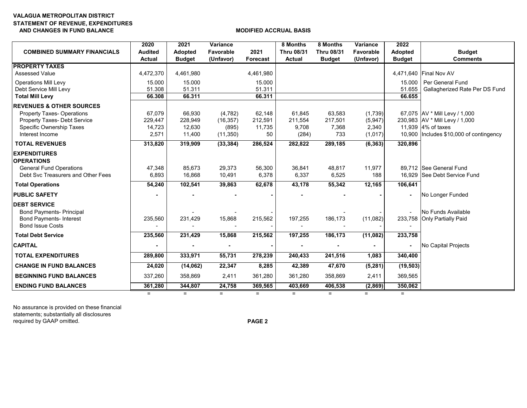### **VALAGUA METROPOLITAN DISTRICT STATEMENT OF REVENUE, EXPENDITURES AND CHANGES IN FUND BALANCE MODIFIED ACCRUAL BASIS**

| <b>COMBINED SUMMARY FINANCIALS</b>  | 2020<br><b>Audited</b> | 2021<br><b>Adopted</b> | Variance<br><b>Favorable</b> | 2021            | 8 Months<br><b>Thru 08/31</b> | 8 Months<br><b>Thru 08/31</b> | Variance<br>Favorable | 2022<br><b>Adopted</b> | <b>Budget</b>                           |
|-------------------------------------|------------------------|------------------------|------------------------------|-----------------|-------------------------------|-------------------------------|-----------------------|------------------------|-----------------------------------------|
|                                     | <b>Actual</b>          | <b>Budget</b>          | (Unfavor)                    | <b>Forecast</b> | <b>Actual</b>                 | <b>Budget</b>                 | (Unfavor)             | <b>Budget</b>          | <b>Comments</b>                         |
| <b>PROPERTY TAXES</b>               |                        |                        |                              |                 |                               |                               |                       |                        |                                         |
| <b>Assessed Value</b>               | 4,472,370              | 4,461,980              |                              | 4,461,980       |                               |                               |                       |                        | 4,471,640 Final Nov AV                  |
| <b>Operations Mill Levy</b>         | 15.000                 | 15.000                 |                              | 15.000          |                               |                               |                       | 15.000                 | Per General Fund                        |
| Debt Service Mill Levy              | 51.308                 | 51.311                 |                              | 51.311          |                               |                               |                       | 51.655                 | Gallagherized Rate Per DS Fund          |
| <b>Total Mill Levy</b>              | 66.308                 | 66.311                 |                              | 66.311          |                               |                               |                       | 66.655                 |                                         |
| <b>REVENUES &amp; OTHER SOURCES</b> |                        |                        |                              |                 |                               |                               |                       |                        |                                         |
| <b>Property Taxes- Operations</b>   | 67,079                 | 66,930                 | (4,782)                      | 62,148          | 61,845                        | 63,583                        | (1,739)               |                        | 67,075 AV * Mill Levy / 1,000           |
| Property Taxes- Debt Service        | 229,447                | 228,949                | (16, 357)                    | 212,591         | 211,554                       | 217,501                       | (5,947)               |                        | 230,983 AV * Mill Levy / 1,000          |
| Specific Ownership Taxes            | 14,723                 | 12,630                 | (895)                        | 11,735          | 9,708                         | 7,368                         | 2,340                 |                        | 11,939 4% of taxes                      |
| Interest Income                     | 2,571                  | 11,400                 | (11, 350)                    | 50              | (284)                         | 733                           | (1,017)               |                        | 10,900 Includes \$10,000 of contingency |
| <b>TOTAL REVENUES</b>               | 313,820                | 319,909                | (33, 384)                    | 286,524         | 282,822                       | 289,185                       | (6, 363)              | 320,896                |                                         |
| <b>EXPENDITURES</b>                 |                        |                        |                              |                 |                               |                               |                       |                        |                                         |
| <b>OPERATIONS</b>                   |                        |                        |                              |                 |                               |                               |                       |                        |                                         |
| <b>General Fund Operations</b>      | 47,348                 | 85,673                 | 29,373                       | 56,300          | 36,841                        | 48,817                        | 11,977                |                        | 89.712 See General Fund                 |
| Debt Svc Treasurers and Other Fees  | 6,893                  | 16,868                 | 10,491                       | 6,378           | 6,337                         | 6,525                         | 188                   |                        | 16,929 See Debt Service Fund            |
| <b>Total Operations</b>             | 54,240                 | 102,541                | 39,863                       | 62,678          | 43,178                        | 55,342                        | 12,165                | $\overline{106,}641$   |                                         |
| <b>PUBLIC SAFETY</b>                |                        |                        |                              |                 |                               |                               |                       |                        | No Longer Funded                        |
| <b>DEBT SERVICE</b>                 |                        |                        |                              |                 |                               |                               |                       |                        |                                         |
| <b>Bond Payments- Principal</b>     |                        |                        |                              |                 |                               |                               |                       | $\blacksquare$         | No Funds Available                      |
| <b>Bond Payments- Interest</b>      | 235,560                | 231,429                | 15,868                       | 215,562         | 197,255                       | 186,173                       | (11,082)              |                        | 233,758 Only Partially Paid             |
| <b>Bond Issue Costs</b>             |                        |                        |                              |                 |                               |                               |                       |                        |                                         |
| <b>Total Debt Service</b>           | 235,560                | 231,429                | 15,868                       | 215,562         | 197,255                       | 186,173                       | (11,082)              | 233,758                |                                         |
| <b>CAPITAL</b>                      |                        |                        |                              |                 |                               |                               |                       |                        | No Capital Projects                     |
| <b>TOTAL EXPENDITURES</b>           | 289,800                | 333,971                | 55,731                       | 278,239         | 240,433                       | 241,516                       | 1,083                 | 340,400                |                                         |
| <b>CHANGE IN FUND BALANCES</b>      | 24,020                 | (14,062)               | 22,347                       | 8,285           | 42,389                        | 47,670                        | (5, 281)              | (19, 503)              |                                         |
| <b>BEGINNING FUND BALANCES</b>      | 337,260                | 358,869                | 2,411                        | 361,280         | 361,280                       | 358,869                       | 2,411                 | 369,565                |                                         |
| <b>ENDING FUND BALANCES</b>         | 361,280                | 344,807                | 24,758                       | 369,565         | 403,669                       | 406,538                       | (2,869)               | 350,062                |                                         |
|                                     | $=$                    | $=$                    | $=$                          | $=$             | $=$                           | $=$                           | $=$                   | $=$                    |                                         |

No assurance is provided on these financial statements; substantially all disclosures required by GAAP omitted. **PAGE 2**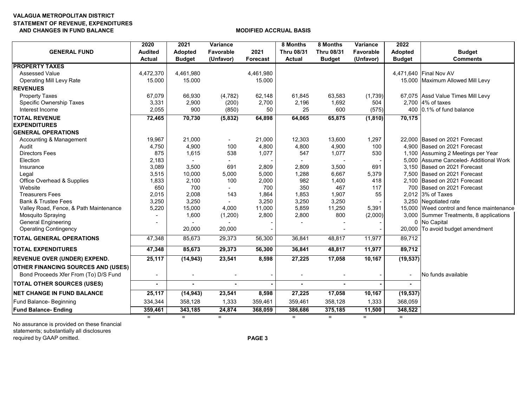### **VALAGUA METROPOLITAN DISTRICT STATEMENT OF REVENUE, EXPENDITURES AND CHANGES IN FUND BALANCE MODIFIED ACCRUAL BASIS**

| <b>GENERAL FUND</b>                       | 2020<br><b>Audited</b> | 2021<br><b>Adopted</b> | Variance<br>Favorable    | 2021           | 8 Months<br><b>Thru 08/31</b> | 8 Months<br><b>Thru 08/31</b> | Variance<br>Favorable | 2022<br><b>Adopted</b> | <b>Budget</b>                                                |
|-------------------------------------------|------------------------|------------------------|--------------------------|----------------|-------------------------------|-------------------------------|-----------------------|------------------------|--------------------------------------------------------------|
|                                           | <b>Actual</b>          | <b>Budget</b>          | (Unfavor)                | Forecast       | <b>Actual</b>                 | <b>Budget</b>                 | (Unfavor)             | <b>Budget</b>          | <b>Comments</b>                                              |
| <b>PROPERTY TAXES</b>                     |                        |                        |                          |                |                               |                               |                       |                        |                                                              |
| <b>Assessed Value</b>                     | 4,472,370              | 4,461,980              |                          | 4,461,980      |                               |                               |                       |                        | 4,471,640 Final Nov AV                                       |
| <b>Operating Mill Levy Rate</b>           | 15.000                 | 15.000                 |                          | 15.000         |                               |                               |                       |                        | 15.000 Maximum Allowed Mill Levy                             |
| <b>REVENUES</b>                           |                        |                        |                          |                |                               |                               |                       |                        |                                                              |
| <b>Property Taxes</b>                     | 67,079                 | 66,930                 | (4,782)                  | 62,148         | 61,845                        | 63,583                        | (1,739)               |                        | 67,075 Assd Value Times Mill Levy                            |
| Specific Ownership Taxes                  | 3,331                  | 2,900                  | (200)                    | 2,700          | 2,196                         | 1,692                         | 504                   |                        | 2,700 4% of taxes                                            |
| Interest Income                           | 2,055                  | 900                    | (850)                    | 50             | 25                            | 600                           | (575)                 |                        | 400 0.1% of fund balance                                     |
| <b>TOTAL REVENUE</b>                      | 72,465                 | 70,730                 | (5,832)                  | 64,898         | 64,065                        | 65,875                        | (1, 810)              | 70,175                 |                                                              |
| <b>EXPENDITURES</b>                       |                        |                        |                          |                |                               |                               |                       |                        |                                                              |
| <b>GENERAL OPERATIONS</b>                 |                        |                        |                          |                |                               |                               |                       |                        |                                                              |
| Accounting & Management                   | 19,967                 | 21,000                 | $\overline{\phantom{a}}$ | 21,000         | 12,303                        | 13,600                        | 1,297                 |                        | 22,000 Based on 2021 Forecast                                |
| Audit                                     | 4,750                  | 4,900                  | 100                      | 4,800          | 4,800                         | 4,900                         | 100                   |                        | 4.900 Based on 2021 Forecast                                 |
| <b>Directors Fees</b>                     | 875                    | 1,615                  | 538                      | 1,077          | 547                           | 1,077                         | 530                   |                        | 1,100 Assuming 2 Meetings per Year                           |
| Election                                  | 2,183                  |                        |                          |                |                               |                               |                       |                        | 5.000 Assume Canceled-Additional Work                        |
| Insurance                                 | 3,089<br>3,515         | 3,500<br>10,000        | 691                      | 2,809<br>5,000 | 2,809<br>1,288                | 3,500                         | 691<br>5,379          |                        | 3,150 Based on 2021 Forecast<br>7.500 Based on 2021 Forecast |
| Legal<br>Office Overhead & Supplies       | 1,833                  | 2,100                  | 5,000<br>100             | 2,000          | 982                           | 6,667<br>1,400                | 418                   |                        | 2.100 Based on 2021 Forecast                                 |
| Website                                   | 650                    | 700                    |                          | 700            | 350                           | 467                           | 117                   |                        | 700 Based on 2021 Forecast                                   |
| <b>Treasurers Fees</b>                    | 2,015                  | 2,008                  | 143                      | 1,864          | 1,853                         | 1,907                         | 55                    |                        | 2,012 3% of Taxes                                            |
| <b>Bank &amp; Trustee Fees</b>            | 3,250                  | 3,250                  |                          | 3,250          | 3,250                         | 3,250                         |                       |                        | 3,250 Negotiated rate                                        |
| Valley Road, Fence, & Path Maintenance    | 5,220                  | 15,000                 | 4,000                    | 11,000         | 5,859                         | 11,250                        | 5,391                 |                        | 15,000 Weed control and fence maintenance                    |
| Mosquito Spraying                         |                        | 1,600                  | (1,200)                  | 2,800          | 2,800                         | 800                           | (2,000)               |                        | 3,000 Summer Treatments, 8 applications                      |
| <b>General Engineering</b>                |                        |                        |                          |                |                               |                               |                       |                        | 0 No Capital                                                 |
| <b>Operating Contingency</b>              |                        | 20,000                 | 20,000                   |                |                               |                               |                       |                        | 20,000 To avoid budget amendment                             |
| <b>TOTAL GENERAL OPERATIONS</b>           | 47,348                 | 85,673                 | 29,373                   | 56,300         | 36,841                        | 48,817                        | 11,977                | 89,712                 |                                                              |
| <b>TOTAL EXPENDITURES</b>                 | 47,348                 | 85,673                 | 29,373                   | 56,300         | 36,841                        | 48,817                        | 11,977                | 89,712                 |                                                              |
| <b>REVENUE OVER (UNDER) EXPEND.</b>       | 25,117                 | (14, 943)              | 23,541                   | 8,598          | 27,225                        | 17,058                        | 10,167                | (19, 537)              |                                                              |
| <b>OTHER FINANCING SOURCES AND (USES)</b> |                        |                        |                          |                |                               |                               |                       |                        |                                                              |
| Bond Proceeds Xfer From (To) D/S Fund     |                        |                        |                          |                |                               |                               |                       |                        | No funds available                                           |
| <b>TOTAL OTHER SOURCES (USES)</b>         |                        | $\blacksquare$         |                          |                | ä,                            | ä,                            |                       |                        |                                                              |
| <b>INET CHANGE IN FUND BALANCE</b>        | 25,117                 | (14, 943)              | 23,541                   | 8,598          | 27,225                        | 17,058                        | 10,167                | (19, 537)              |                                                              |
| <b>Fund Balance-Beginning</b>             | 334,344                | 358,128                | 1,333                    | 359,461        | 359,461                       | 358,128                       | 1,333                 | 368,059                |                                                              |
| <b>Fund Balance-Ending</b>                | 359,461                | 343,185                | 24,874                   | 368,059        | 386,686                       | 375,185                       | 11,500                | 348,522                |                                                              |
|                                           | $=$                    | $=$                    | $=$                      |                | $=$                           | $=$                           | $=$                   | $=$                    |                                                              |

No assurance is provided on these financial statements; substantially all disclosures required by GAAP omitted. **PAGE 3**

= = = <sup>=</sup> = =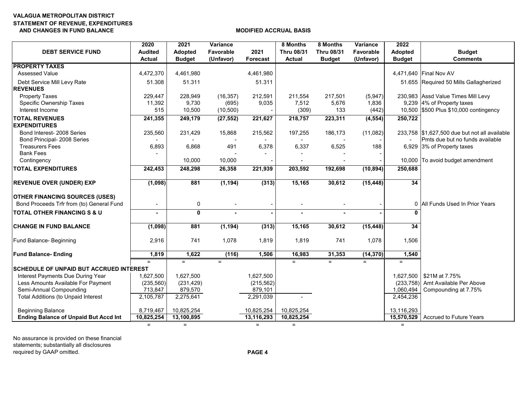### **VALAGUA METROPOLITAN DISTRICT STATEMENT OF REVENUE, EXPENDITURES AND CHANGES IN FUND BALANCE MODIFIED ACCRUAL BASIS**

| <b>DEBT SERVICE FUND</b>                                                           | 2020<br><b>Audited</b><br><b>Actual</b> | 2021<br>Adopted<br><b>Budget</b> | Variance<br>Favorable<br>(Unfavor) | 2021<br><b>Forecast</b> | 8 Months<br><b>Thru 08/31</b><br><b>Actual</b> | 8 Months<br><b>Thru 08/31</b><br><b>Budget</b> | Variance<br>Favorable<br>(Unfavor) | 2022<br><b>Adopted</b><br><b>Budget</b> | <b>Budget</b><br><b>Comments</b>                                                 |
|------------------------------------------------------------------------------------|-----------------------------------------|----------------------------------|------------------------------------|-------------------------|------------------------------------------------|------------------------------------------------|------------------------------------|-----------------------------------------|----------------------------------------------------------------------------------|
| <b>PROPERTY TAXES</b>                                                              |                                         |                                  |                                    |                         |                                                |                                                |                                    |                                         |                                                                                  |
| <b>Assessed Value</b>                                                              | 4,472,370                               | 4,461,980                        |                                    | 4,461,980               |                                                |                                                |                                    |                                         | 4,471,640 Final Nov AV                                                           |
| Debt Service Mill Levy Rate<br><b>REVENUES</b>                                     | 51.308                                  | 51.311                           |                                    | 51.311                  |                                                |                                                |                                    |                                         | 51.655 Required 50 Mills Gallagherized                                           |
| <b>Property Taxes</b>                                                              | 229,447                                 | 228,949                          | (16, 357)                          | 212,591                 | 211,554                                        | 217,501                                        | (5,947)                            |                                         | 230,983 Assd Value Times Mill Levy                                               |
| Specific Ownership Taxes                                                           | 11,392                                  | 9,730                            | (695)                              | 9,035                   | 7,512                                          | 5,676                                          | 1,836                              |                                         | 9,239 4% of Property taxes                                                       |
| Interest Income                                                                    | 515                                     | 10,500                           | (10, 500)                          |                         | (309)                                          | 133                                            | (442)                              |                                         | 10,500 \$500 Plus \$10,000 contingency                                           |
| <b>TOTAL REVENUES</b>                                                              | 241,355                                 | 249,179                          | (27, 552)                          | 221,627                 | 218,757                                        | 223,311                                        | (4, 554)                           | 250,722                                 |                                                                                  |
| <b>EXPENDITURES</b>                                                                |                                         |                                  |                                    |                         |                                                |                                                |                                    |                                         |                                                                                  |
| Bond Interest- 2008 Series<br>Bond Principal- 2008 Series                          | 235,560                                 | 231,429                          | 15,868                             | 215,562                 | 197,255                                        | 186,173                                        | (11,082)                           |                                         | 233,758 \$1,627,500 due but not all available<br>Pmts due but no funds available |
| <b>Treasurers Fees</b>                                                             | 6,893                                   | 6,868                            | 491                                | 6,378                   | 6,337                                          | 6,525                                          | 188                                |                                         | 6,929 3% of Property taxes                                                       |
| <b>Bank Fees</b>                                                                   |                                         |                                  |                                    |                         |                                                |                                                |                                    |                                         |                                                                                  |
| Contingency                                                                        |                                         | 10,000                           | 10,000                             |                         |                                                |                                                |                                    |                                         | 10,000 To avoid budget amendment                                                 |
| <b>TOTAL EXPENDITURES</b>                                                          | 242,453                                 | 248,298                          | 26,358                             | 221,939                 | 203,592                                        | 192,698                                        | (10, 894)                          | 250,688                                 |                                                                                  |
| <b>REVENUE OVER (UNDER) EXP</b>                                                    | (1,098)                                 | 881                              | (1, 194)                           | (313)                   | 15,165                                         | 30,612                                         | (15, 448)                          | 34                                      |                                                                                  |
| <b>OTHER FINANCING SOURCES (USES)</b><br>Bond Proceeds Trfr from (to) General Fund | $\overline{\phantom{a}}$                | 0                                | $\overline{a}$                     |                         |                                                |                                                |                                    |                                         | 0 All Funds Used In Prior Years                                                  |
|                                                                                    |                                         |                                  |                                    |                         |                                                |                                                |                                    |                                         |                                                                                  |
| <b>TOTAL OTHER FINANCING S &amp; U</b>                                             |                                         | $\mathbf{0}$                     |                                    |                         |                                                |                                                |                                    |                                         |                                                                                  |
| <b>CHANGE IN FUND BALANCE</b>                                                      | (1,098)                                 | 881                              | (1, 194)                           | (313)                   | 15,165                                         | 30,612                                         | (15, 448)                          | 34                                      |                                                                                  |
| Fund Balance- Beginning                                                            | 2,916                                   | 741                              | 1,078                              | 1,819                   | 1,819                                          | 741                                            | 1,078                              | 1,506                                   |                                                                                  |
| <b>Fund Balance-Ending</b>                                                         | 1,819                                   | 1,622                            | (116)                              | 1,506                   | 16,983                                         | 31,353                                         | (14, 370)                          | 1,540                                   |                                                                                  |
|                                                                                    | $=$                                     | $=$                              | $=$                                |                         | $=$                                            | $=$                                            | $=$                                | $=$                                     |                                                                                  |
| <b>SCHEDULE OF UNPAID BUT ACCRUED INTEREST</b>                                     |                                         |                                  |                                    |                         |                                                |                                                |                                    |                                         |                                                                                  |
| Interest Payments Due During Year                                                  | 1.627.500                               | 1.627.500                        |                                    | 1,627,500               |                                                |                                                |                                    |                                         | 1.627.500 S21M at 7.75%                                                          |
| Less Amounts Available For Payment                                                 | (235, 560)                              | (231, 429)                       |                                    | (215, 562)              |                                                |                                                |                                    | (233, 758)                              | Amt Available Per Above                                                          |
| Semi-Annual Compounding                                                            | 713,847                                 | 879,570                          |                                    | 879,101                 |                                                |                                                |                                    | 1,060,494                               | Compounding at 7.75%                                                             |
| Total Additions (to Unpaid Interest                                                | 2,105,787                               | 2,275,641                        |                                    | 2,291,039               |                                                |                                                |                                    | 2,454,236                               |                                                                                  |
| <b>Beginning Balance</b>                                                           | 8,719,467                               | 10,825,254                       |                                    | 10,825,254              | 10,825,254                                     |                                                |                                    | 13,116,293                              |                                                                                  |
| <b>Ending Balance of Unpaid But Accd Int</b>                                       | 10,825,254                              | 13,100,895                       |                                    | 13,116,293              | 10,825,254                                     |                                                |                                    | 15,570,529                              | <b>Accrued to Future Years</b>                                                   |
|                                                                                    | $\equiv$                                | $=$                              |                                    | $=$                     | $\equiv$                                       |                                                |                                    | $=$                                     |                                                                                  |

No assurance is provided on these financial statements; substantially all disclosures required by GAAP omitted. **PAGE 4**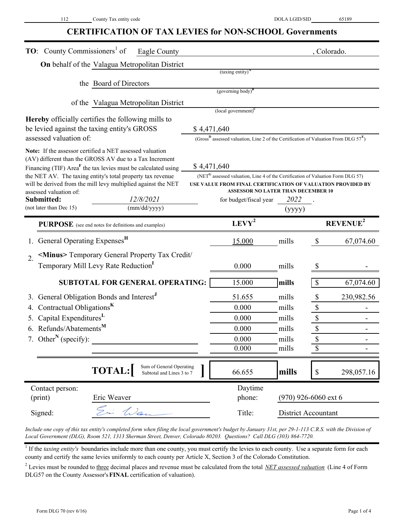# **CERTIFICATION OF TAX LEVIES for NON-SCHOOL Governments**

| <b>TO:</b> County Commissioners <sup>1</sup> of<br>Eagle County                         |             |                                                                                                             |                        | , Colorado.       |                            |
|-----------------------------------------------------------------------------------------|-------------|-------------------------------------------------------------------------------------------------------------|------------------------|-------------------|----------------------------|
| On behalf of the Valagua Metropolitan District                                          |             |                                                                                                             |                        |                   |                            |
|                                                                                         |             | $(taxing entity)^A$                                                                                         |                        |                   |                            |
| the Board of Directors                                                                  |             |                                                                                                             |                        |                   |                            |
|                                                                                         |             | (governing body) <sup>B</sup>                                                                               |                        |                   |                            |
| of the Valagua Metropolitan District                                                    |             |                                                                                                             |                        |                   |                            |
| <b>Hereby</b> officially certifies the following mills to                               |             | $\left($ local government $\right)^{C}$                                                                     |                        |                   |                            |
| be levied against the taxing entity's GROSS                                             | \$4,471,640 |                                                                                                             |                        |                   |                            |
| assessed valuation of:                                                                  |             | (Gross <sup>B</sup> assessed valuation, Line 2 of the Certification of Valuation From DLG $57^{\text{E}}$ ) |                        |                   |                            |
| Note: If the assessor certified a NET assessed valuation                                |             |                                                                                                             |                        |                   |                            |
| (AV) different than the GROSS AV due to a Tax Increment                                 |             |                                                                                                             |                        |                   |                            |
| Financing (TIF) Area <sup>F</sup> the tax levies must be calculated using               | \$4,471,640 |                                                                                                             |                        |                   |                            |
| the NET AV. The taxing entity's total property tax revenue                              |             | (NET <sup>G</sup> assessed valuation, Line 4 of the Certification of Valuation Form DLG 57)                 |                        |                   |                            |
| will be derived from the mill levy multiplied against the NET<br>assessed valuation of: |             | USE VALUE FROM FINAL CERTIFICATION OF VALUATION PROVIDED BY<br><b>ASSESSOR NO LATER THAN DECEMBER 10</b>    |                        |                   |                            |
| 12/8/2021<br>Submitted:                                                                 |             | for budget/fiscal year                                                                                      | 2022                   |                   |                            |
| (not later than Dec 15)<br>(mm/dd/yyyy)                                                 |             |                                                                                                             | (yyyy)                 |                   |                            |
| PURPOSE (see end notes for definitions and examples)                                    |             | $LEVY^2$                                                                                                    |                        |                   | <b>REVENUE<sup>2</sup></b> |
| General Operating Expenses <sup>H</sup>                                                 |             | 15.000                                                                                                      | mills                  | \$                | 67,074.60                  |
| <minus> Temporary General Property Tax Credit/<br/><math>\overline{2}</math>.</minus>   |             |                                                                                                             |                        |                   |                            |
| Temporary Mill Levy Rate Reduction                                                      |             | 0.000                                                                                                       | mills                  |                   |                            |
|                                                                                         |             |                                                                                                             |                        |                   |                            |
| SUBTOTAL FOR GENERAL OPERATING:                                                         |             | 15.000                                                                                                      | mills                  | \$                | 67,074.60                  |
| General Obligation Bonds and Interest <sup>J</sup>                                      |             | 51.655                                                                                                      | mills                  | \$                | 230,982.56                 |
| Contractual Obligations <sup>K</sup>                                                    |             | 0.000                                                                                                       | mills                  | $\boldsymbol{\$}$ |                            |
| Capital Expenditures <sup>L</sup><br>5.                                                 |             | 0.000                                                                                                       | mills                  | \$                |                            |
| 6. Refunds/Abatements <sup>M</sup>                                                      |             | 0.000                                                                                                       | mills                  | $\boldsymbol{\$}$ |                            |
| 7. Other <sup>N</sup> (specify):                                                        |             | 0.000                                                                                                       | mills                  | \$                |                            |
|                                                                                         |             | 0.000                                                                                                       | mills                  | \$                |                            |
| Sum of General Operating<br><b>TOTAL:</b><br>Subtotal and Lines 3 to 7                  |             | 66.655                                                                                                      | mills                  | $\$$              | 298,057.16                 |
| Contact person:                                                                         |             | Daytime                                                                                                     |                        |                   |                            |
| (print)<br>Eric Weaver                                                                  |             | phone:                                                                                                      | $(970)$ 926-6060 ext 6 |                   |                            |
|                                                                                         |             |                                                                                                             |                        |                   |                            |

*Include one copy of this tax entity's completed form when filing the local government's budget by January 31st, per 29-1-113 C.R.S. with the Division of Local Government (DLG), Room 521, 1313 Sherman Street, Denver, Colorado 80203. Questions? Call DLG (303) 864-7720.*

<sup>1</sup> If the *taxing entity's* boundaries include more than one county, you must certify the levies to each county. Use a separate form for each county and certify the same levies uniformly to each county per Article X, Section 3 of the Colorado Constitution.

<sup>2</sup> Levies must be rounded to three decimal places and revenue must be calculated from the total *NET assessed valuation* (Line 4 of Form DLG57 on the County Assessor's **FINAL** certification of valuation).